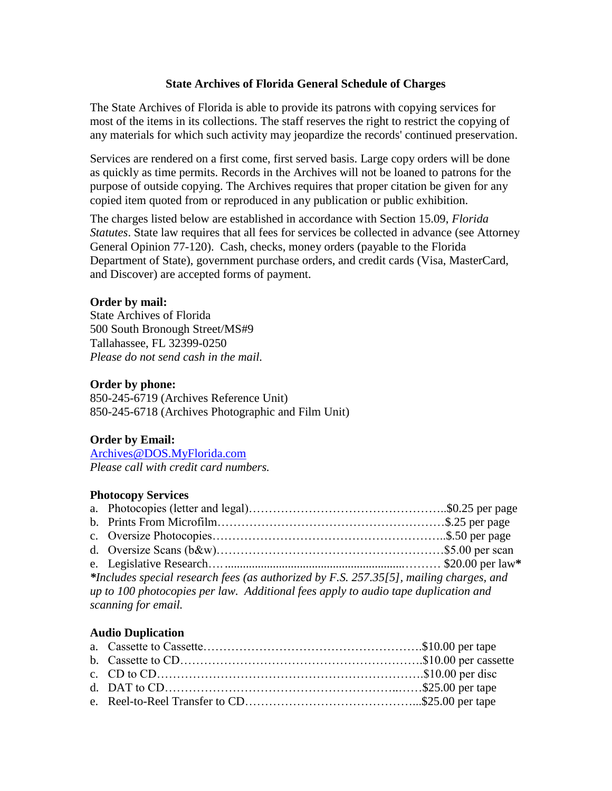# **State Archives of Florida General Schedule of Charges**

The State Archives of Florida is able to provide its patrons with copying services for most of the items in its collections. The staff reserves the right to restrict the copying of any materials for which such activity may jeopardize the records' continued preservation.

Services are rendered on a first come, first served basis. Large copy orders will be done as quickly as time permits. Records in the Archives will not be loaned to patrons for the purpose of outside copying. The Archives requires that proper citation be given for any copied item quoted from or reproduced in any publication or public exhibition.

The charges listed below are established in accordance with Section 15.09, *Florida Statutes*. State law requires that all fees for services be collected in advance (see Attorney General Opinion 77-120). Cash, checks, money orders (payable to the Florida Department of State), government purchase orders, and credit cards (Visa, MasterCard, and Discover) are accepted forms of payment.

### **Order by mail:**

State Archives of Florida 500 South Bronough Street/MS#9 Tallahassee, FL 32399-0250 *Please do not send cash in the mail.* 

### **Order by phone:**

850-245-6719 (Archives Reference Unit) 850-245-6718 (Archives Photographic and Film Unit)

# **Order by Email:**

[Archives@DOS.MyFlorida.com](mailto:Archives@DOS.MyFlorida.com) *Please call with credit card numbers.*

### **Photocopy Services**

| *Includes special research fees (as authorized by F.S. 257.35[5], mailing charges, and |  |  |  |  |
|----------------------------------------------------------------------------------------|--|--|--|--|
| up to 100 photocopies per law. Additional fees apply to audio tape duplication and     |  |  |  |  |
| scanning for email.                                                                    |  |  |  |  |
|                                                                                        |  |  |  |  |

### **Audio Duplication**